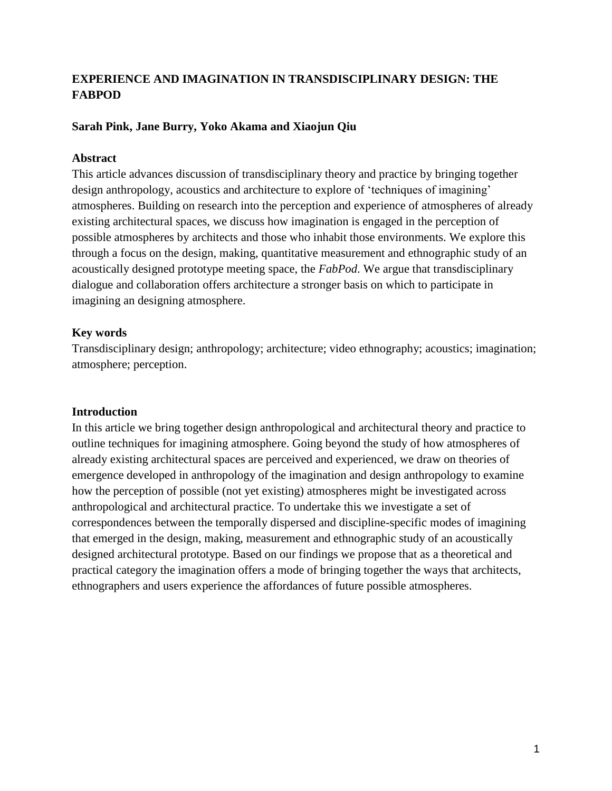# **EXPERIENCE AND IMAGINATION IN TRANSDISCIPLINARY DESIGN: THE FABPOD**

## **Sarah Pink, Jane Burry, Yoko Akama and Xiaojun Qiu**

### **Abstract**

This article advances discussion of transdisciplinary theory and practice by bringing together design anthropology, acoustics and architecture to explore of 'techniques of imagining' atmospheres. Building on research into the perception and experience of atmospheres of already existing architectural spaces, we discuss how imagination is engaged in the perception of possible atmospheres by architects and those who inhabit those environments. We explore this through a focus on the design, making, quantitative measurement and ethnographic study of an acoustically designed prototype meeting space, the *FabPod*. We argue that transdisciplinary dialogue and collaboration offers architecture a stronger basis on which to participate in imagining an designing atmosphere.

## **Key words**

Transdisciplinary design; anthropology; architecture; video ethnography; acoustics; imagination; atmosphere; perception.

## **Introduction**

In this article we bring together design anthropological and architectural theory and practice to outline techniques for imagining atmosphere. Going beyond the study of how atmospheres of already existing architectural spaces are perceived and experienced, we draw on theories of emergence developed in anthropology of the imagination and design anthropology to examine how the perception of possible (not yet existing) atmospheres might be investigated across anthropological and architectural practice. To undertake this we investigate a set of correspondences between the temporally dispersed and discipline-specific modes of imagining that emerged in the design, making, measurement and ethnographic study of an acoustically designed architectural prototype. Based on our findings we propose that as a theoretical and practical category the imagination offers a mode of bringing together the ways that architects, ethnographers and users experience the affordances of future possible atmospheres.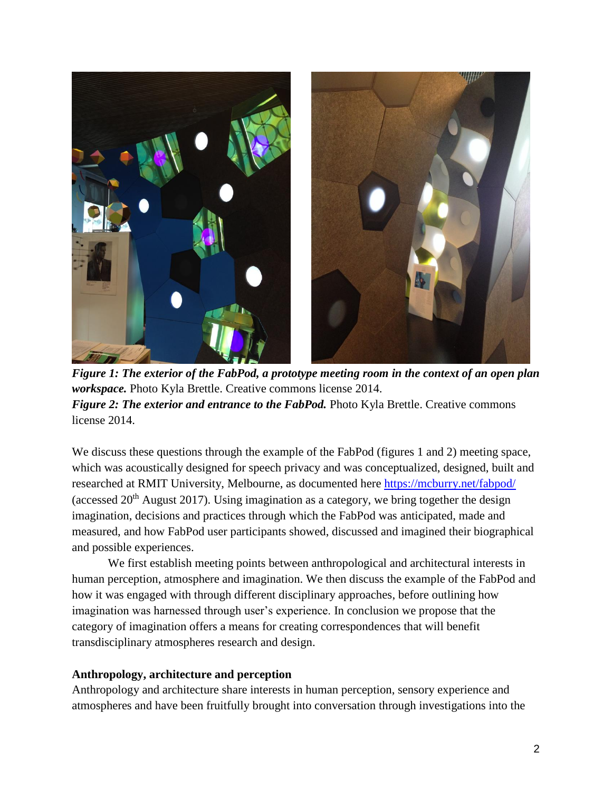

*Figure 1: The exterior of the FabPod, a prototype meeting room in the context of an open plan workspace.* Photo Kyla Brettle. Creative commons license 2014. *Figure 2: The exterior and entrance to the FabPod.* Photo Kyla Brettle. Creative commons license 2014.

We discuss these questions through the example of the FabPod (figures 1 and 2) meeting space, which was acoustically designed for speech privacy and was conceptualized, designed, built and researched at RMIT University, Melbourne, as documented here<https://mcburry.net/fabpod/> (accessed  $20<sup>th</sup>$  August 2017). Using imagination as a category, we bring together the design imagination, decisions and practices through which the FabPod was anticipated, made and measured, and how FabPod user participants showed, discussed and imagined their biographical and possible experiences.

We first establish meeting points between anthropological and architectural interests in human perception, atmosphere and imagination. We then discuss the example of the FabPod and how it was engaged with through different disciplinary approaches, before outlining how imagination was harnessed through user's experience. In conclusion we propose that the category of imagination offers a means for creating correspondences that will benefit transdisciplinary atmospheres research and design.

### **Anthropology, architecture and perception**

Anthropology and architecture share interests in human perception, sensory experience and atmospheres and have been fruitfully brought into conversation through investigations into the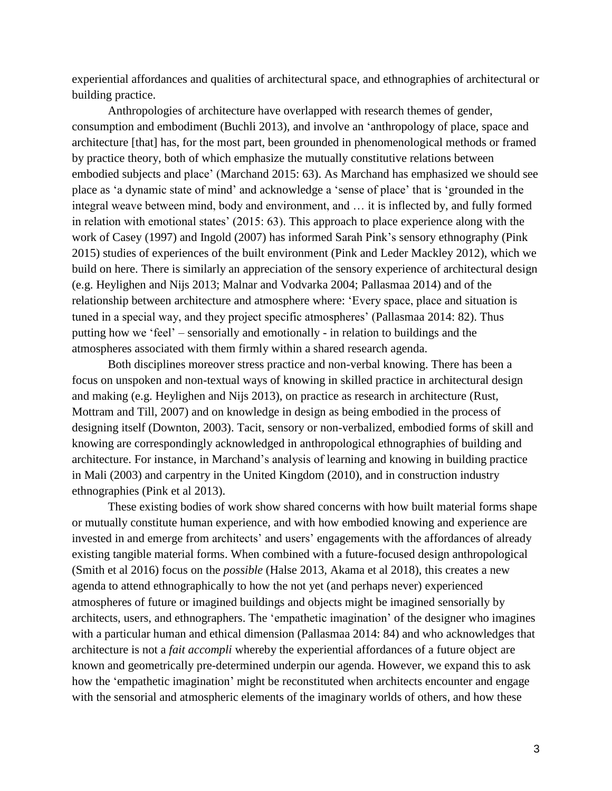experiential affordances and qualities of architectural space, and ethnographies of architectural or building practice.

Anthropologies of architecture have overlapped with research themes of gender, consumption and embodiment (Buchli 2013), and involve an 'anthropology of place, space and architecture [that] has, for the most part, been grounded in phenomenological methods or framed by practice theory, both of which emphasize the mutually constitutive relations between embodied subjects and place' (Marchand 2015: 63). As Marchand has emphasized we should see place as 'a dynamic state of mind' and acknowledge a 'sense of place' that is 'grounded in the integral weave between mind, body and environment, and … it is inflected by, and fully formed in relation with emotional states' (2015: 63). This approach to place experience along with the work of Casey (1997) and Ingold (2007) has informed Sarah Pink's sensory ethnography (Pink 2015) studies of experiences of the built environment (Pink and Leder Mackley 2012), which we build on here. There is similarly an appreciation of the sensory experience of architectural design (e.g. Heylighen and Nijs 2013; Malnar and Vodvarka 2004; Pallasmaa 2014) and of the relationship between architecture and atmosphere where: 'Every space, place and situation is tuned in a special way, and they project specific atmospheres' (Pallasmaa 2014: 82). Thus putting how we 'feel' – sensorially and emotionally - in relation to buildings and the atmospheres associated with them firmly within a shared research agenda.

Both disciplines moreover stress practice and non-verbal knowing. There has been a focus on unspoken and non-textual ways of knowing in skilled practice in architectural design and making (e.g. Heylighen and Nijs 2013), on practice as research in architecture (Rust, Mottram and Till, 2007) and on knowledge in design as being embodied in the process of designing itself (Downton, 2003). Tacit, sensory or non-verbalized, embodied forms of skill and knowing are correspondingly acknowledged in anthropological ethnographies of building and architecture. For instance, in Marchand's analysis of learning and knowing in building practice in Mali (2003) and carpentry in the United Kingdom (2010), and in construction industry ethnographies (Pink et al 2013).

These existing bodies of work show shared concerns with how built material forms shape or mutually constitute human experience, and with how embodied knowing and experience are invested in and emerge from architects' and users' engagements with the affordances of already existing tangible material forms. When combined with a future-focused design anthropological (Smith et al 2016) focus on the *possible* (Halse 2013, Akama et al 2018), this creates a new agenda to attend ethnographically to how the not yet (and perhaps never) experienced atmospheres of future or imagined buildings and objects might be imagined sensorially by architects, users, and ethnographers. The 'empathetic imagination' of the designer who imagines with a particular human and ethical dimension (Pallasmaa 2014: 84) and who acknowledges that architecture is not a *fait accompli* whereby the experiential affordances of a future object are known and geometrically pre-determined underpin our agenda. However, we expand this to ask how the 'empathetic imagination' might be reconstituted when architects encounter and engage with the sensorial and atmospheric elements of the imaginary worlds of others, and how these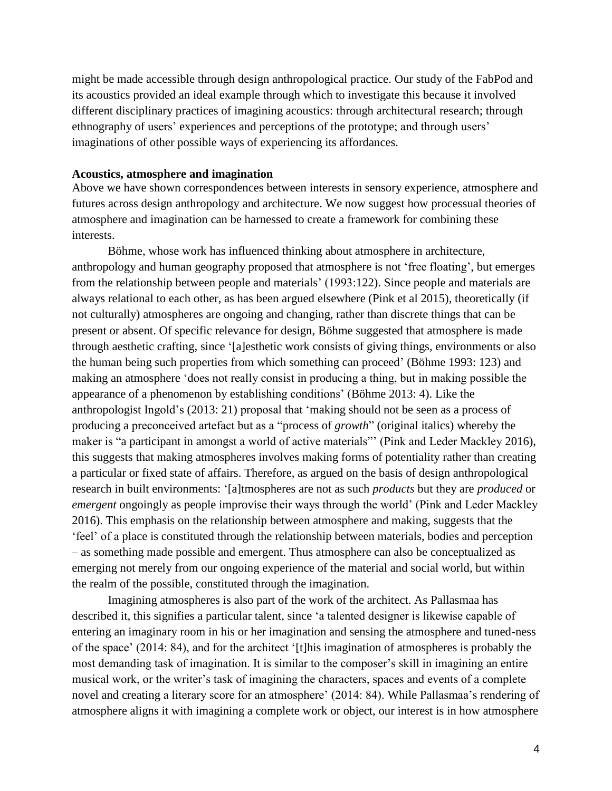might be made accessible through design anthropological practice. Our study of the FabPod and its acoustics provided an ideal example through which to investigate this because it involved different disciplinary practices of imagining acoustics: through architectural research; through ethnography of users' experiences and perceptions of the prototype; and through users' imaginations of other possible ways of experiencing its affordances.

#### **Acoustics, atmosphere and imagination**

Above we have shown correspondences between interests in sensory experience, atmosphere and futures across design anthropology and architecture. We now suggest how processual theories of atmosphere and imagination can be harnessed to create a framework for combining these interests.

Böhme, whose work has influenced thinking about atmosphere in architecture, anthropology and human geography proposed that atmosphere is not 'free floating', but emerges from the relationship between people and materials' (1993:122). Since people and materials are always relational to each other, as has been argued elsewhere (Pink et al 2015), theoretically (if not culturally) atmospheres are ongoing and changing, rather than discrete things that can be present or absent. Of specific relevance for design, Böhme suggested that atmosphere is made through aesthetic crafting, since '[a]esthetic work consists of giving things, environments or also the human being such properties from which something can proceed' (Böhme 1993: 123) and making an atmosphere 'does not really consist in producing a thing, but in making possible the appearance of a phenomenon by establishing conditions' (Böhme 2013: 4). Like the anthropologist Ingold's (2013: 21) proposal that 'making should not be seen as a process of producing a preconceived artefact but as a "process of *growth*" (original italics) whereby the maker is "a participant in amongst a world of active materials"' (Pink and Leder Mackley 2016), this suggests that making atmospheres involves making forms of potentiality rather than creating a particular or fixed state of affairs. Therefore, as argued on the basis of design anthropological research in built environments: '[a]tmospheres are not as such *products* but they are *produced* or *emergent* ongoingly as people improvise their ways through the world' (Pink and Leder Mackley 2016). This emphasis on the relationship between atmosphere and making, suggests that the 'feel' of a place is constituted through the relationship between materials, bodies and perception – as something made possible and emergent. Thus atmosphere can also be conceptualized as emerging not merely from our ongoing experience of the material and social world, but within the realm of the possible, constituted through the imagination.

Imagining atmospheres is also part of the work of the architect. As Pallasmaa has described it, this signifies a particular talent, since 'a talented designer is likewise capable of entering an imaginary room in his or her imagination and sensing the atmosphere and tuned-ness of the space' (2014: 84), and for the architect '[t]his imagination of atmospheres is probably the most demanding task of imagination. It is similar to the composer's skill in imagining an entire musical work, or the writer's task of imagining the characters, spaces and events of a complete novel and creating a literary score for an atmosphere' (2014: 84). While Pallasmaa's rendering of atmosphere aligns it with imagining a complete work or object, our interest is in how atmosphere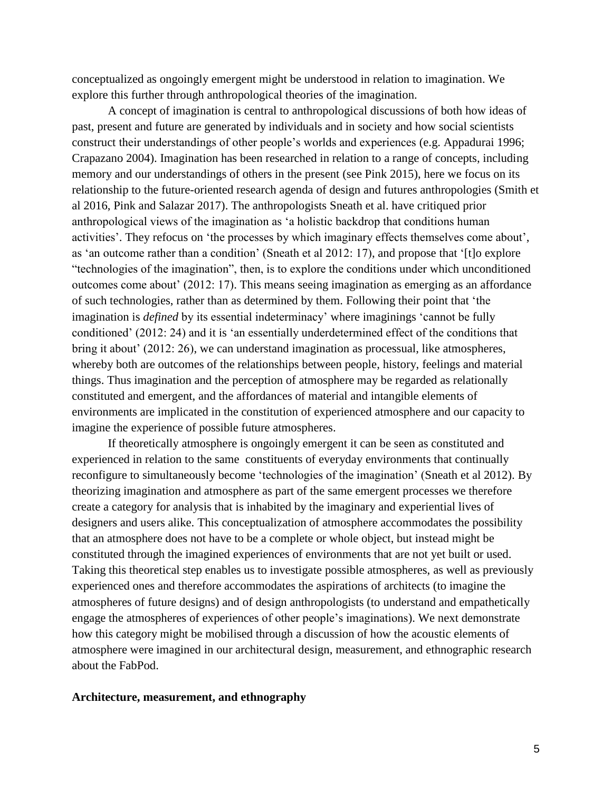conceptualized as ongoingly emergent might be understood in relation to imagination. We explore this further through anthropological theories of the imagination.

A concept of imagination is central to anthropological discussions of both how ideas of past, present and future are generated by individuals and in society and how social scientists construct their understandings of other people's worlds and experiences (e.g. Appadurai 1996; Crapazano 2004). Imagination has been researched in relation to a range of concepts, including memory and our understandings of others in the present (see Pink 2015), here we focus on its relationship to the future-oriented research agenda of design and futures anthropologies (Smith et al 2016, Pink and Salazar 2017). The anthropologists Sneath et al. have critiqued prior anthropological views of the imagination as 'a holistic backdrop that conditions human activities'. They refocus on 'the processes by which imaginary effects themselves come about', as 'an outcome rather than a condition' (Sneath et al 2012: 17), and propose that '[t]o explore "technologies of the imagination", then, is to explore the conditions under which unconditioned outcomes come about' (2012: 17). This means seeing imagination as emerging as an affordance of such technologies, rather than as determined by them. Following their point that 'the imagination is *defined* by its essential indeterminacy' where imaginings 'cannot be fully conditioned' (2012: 24) and it is 'an essentially underdetermined effect of the conditions that bring it about' (2012: 26), we can understand imagination as processual, like atmospheres, whereby both are outcomes of the relationships between people, history, feelings and material things. Thus imagination and the perception of atmosphere may be regarded as relationally constituted and emergent, and the affordances of material and intangible elements of environments are implicated in the constitution of experienced atmosphere and our capacity to imagine the experience of possible future atmospheres.

If theoretically atmosphere is ongoingly emergent it can be seen as constituted and experienced in relation to the same constituents of everyday environments that continually reconfigure to simultaneously become 'technologies of the imagination' (Sneath et al 2012). By theorizing imagination and atmosphere as part of the same emergent processes we therefore create a category for analysis that is inhabited by the imaginary and experiential lives of designers and users alike. This conceptualization of atmosphere accommodates the possibility that an atmosphere does not have to be a complete or whole object, but instead might be constituted through the imagined experiences of environments that are not yet built or used. Taking this theoretical step enables us to investigate possible atmospheres, as well as previously experienced ones and therefore accommodates the aspirations of architects (to imagine the atmospheres of future designs) and of design anthropologists (to understand and empathetically engage the atmospheres of experiences of other people's imaginations). We next demonstrate how this category might be mobilised through a discussion of how the acoustic elements of atmosphere were imagined in our architectural design, measurement, and ethnographic research about the FabPod.

#### **Architecture, measurement, and ethnography**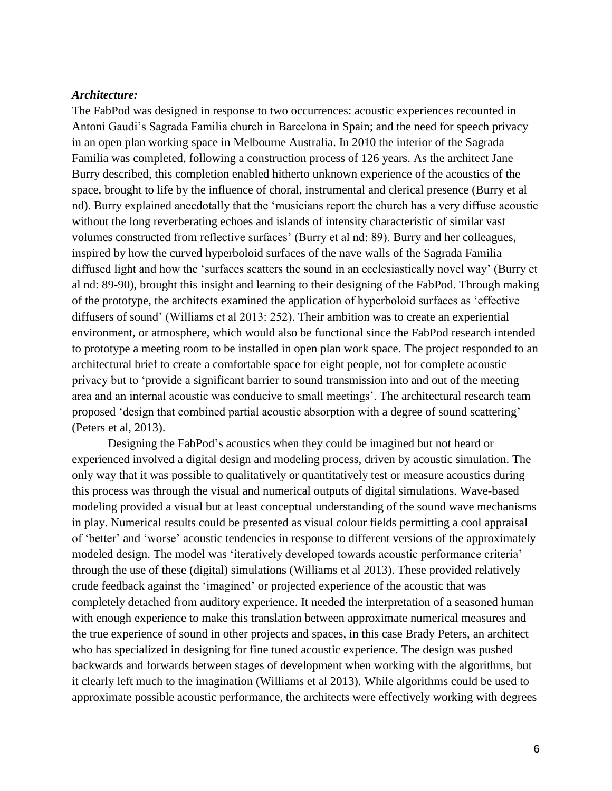#### *Architecture:*

The FabPod was designed in response to two occurrences: acoustic experiences recounted in Antoni Gaudi's Sagrada Familia church in Barcelona in Spain; and the need for speech privacy in an open plan working space in Melbourne Australia. In 2010 the interior of the Sagrada Familia was completed, following a construction process of 126 years. As the architect Jane Burry described, this completion enabled hitherto unknown experience of the acoustics of the space, brought to life by the influence of choral, instrumental and clerical presence (Burry et al nd). Burry explained anecdotally that the 'musicians report the church has a very diffuse acoustic without the long reverberating echoes and islands of intensity characteristic of similar vast volumes constructed from reflective surfaces' (Burry et al nd: 89). Burry and her colleagues, inspired by how the curved hyperboloid surfaces of the nave walls of the Sagrada Familia diffused light and how the 'surfaces scatters the sound in an ecclesiastically novel way' (Burry et al nd: 89-90), brought this insight and learning to their designing of the FabPod. Through making of the prototype, the architects examined the application of hyperboloid surfaces as 'effective diffusers of sound' (Williams et al 2013: 252). Their ambition was to create an experiential environment, or atmosphere, which would also be functional since the FabPod research intended to prototype a meeting room to be installed in open plan work space. The project responded to an architectural brief to create a comfortable space for eight people, not for complete acoustic privacy but to 'provide a significant barrier to sound transmission into and out of the meeting area and an internal acoustic was conducive to small meetings'. The architectural research team proposed 'design that combined partial acoustic absorption with a degree of sound scattering' (Peters et al, 2013).

Designing the FabPod's acoustics when they could be imagined but not heard or experienced involved a digital design and modeling process, driven by acoustic simulation. The only way that it was possible to qualitatively or quantitatively test or measure acoustics during this process was through the visual and numerical outputs of digital simulations. Wave-based modeling provided a visual but at least conceptual understanding of the sound wave mechanisms in play. Numerical results could be presented as visual colour fields permitting a cool appraisal of 'better' and 'worse' acoustic tendencies in response to different versions of the approximately modeled design. The model was 'iteratively developed towards acoustic performance criteria' through the use of these (digital) simulations (Williams et al 2013). These provided relatively crude feedback against the 'imagined' or projected experience of the acoustic that was completely detached from auditory experience. It needed the interpretation of a seasoned human with enough experience to make this translation between approximate numerical measures and the true experience of sound in other projects and spaces, in this case Brady Peters, an architect who has specialized in designing for fine tuned acoustic experience. The design was pushed backwards and forwards between stages of development when working with the algorithms, but it clearly left much to the imagination (Williams et al 2013). While algorithms could be used to approximate possible acoustic performance, the architects were effectively working with degrees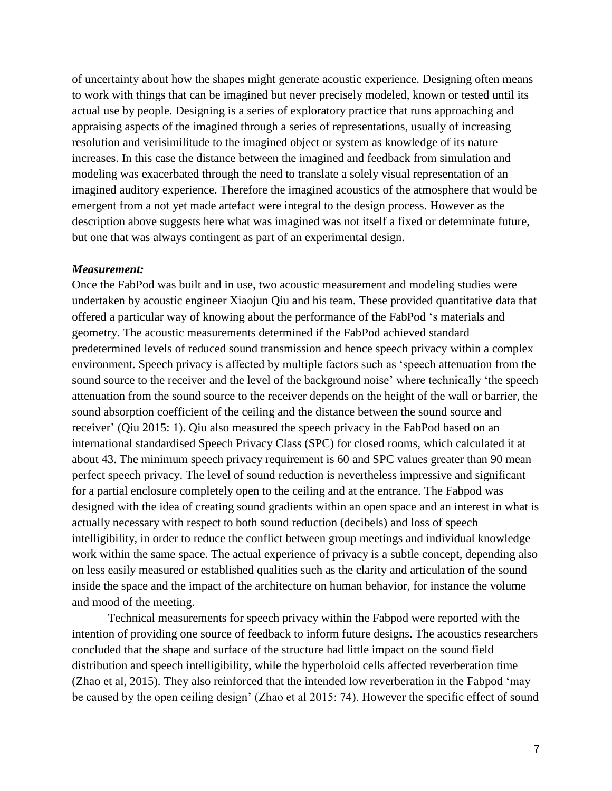of uncertainty about how the shapes might generate acoustic experience. Designing often means to work with things that can be imagined but never precisely modeled, known or tested until its actual use by people. Designing is a series of exploratory practice that runs approaching and appraising aspects of the imagined through a series of representations, usually of increasing resolution and verisimilitude to the imagined object or system as knowledge of its nature increases. In this case the distance between the imagined and feedback from simulation and modeling was exacerbated through the need to translate a solely visual representation of an imagined auditory experience. Therefore the imagined acoustics of the atmosphere that would be emergent from a not yet made artefact were integral to the design process. However as the description above suggests here what was imagined was not itself a fixed or determinate future, but one that was always contingent as part of an experimental design.

#### *Measurement:*

Once the FabPod was built and in use, two acoustic measurement and modeling studies were undertaken by acoustic engineer Xiaojun Qiu and his team. These provided quantitative data that offered a particular way of knowing about the performance of the FabPod 's materials and geometry. The acoustic measurements determined if the FabPod achieved standard predetermined levels of reduced sound transmission and hence speech privacy within a complex environment. Speech privacy is affected by multiple factors such as 'speech attenuation from the sound source to the receiver and the level of the background noise' where technically 'the speech attenuation from the sound source to the receiver depends on the height of the wall or barrier, the sound absorption coefficient of the ceiling and the distance between the sound source and receiver' (Qiu 2015: 1). Qiu also measured the speech privacy in the FabPod based on an international standardised Speech Privacy Class (SPC) for closed rooms, which calculated it at about 43. The minimum speech privacy requirement is 60 and SPC values greater than 90 mean perfect speech privacy. The level of sound reduction is nevertheless impressive and significant for a partial enclosure completely open to the ceiling and at the entrance. The Fabpod was designed with the idea of creating sound gradients within an open space and an interest in what is actually necessary with respect to both sound reduction (decibels) and loss of speech intelligibility, in order to reduce the conflict between group meetings and individual knowledge work within the same space. The actual experience of privacy is a subtle concept, depending also on less easily measured or established qualities such as the clarity and articulation of the sound inside the space and the impact of the architecture on human behavior, for instance the volume and mood of the meeting.

Technical measurements for speech privacy within the Fabpod were reported with the intention of providing one source of feedback to inform future designs. The acoustics researchers concluded that the shape and surface of the structure had little impact on the sound field distribution and speech intelligibility, while the hyperboloid cells affected reverberation time (Zhao et al, 2015). They also reinforced that the intended low reverberation in the Fabpod 'may be caused by the open ceiling design' (Zhao et al 2015: 74). However the specific effect of sound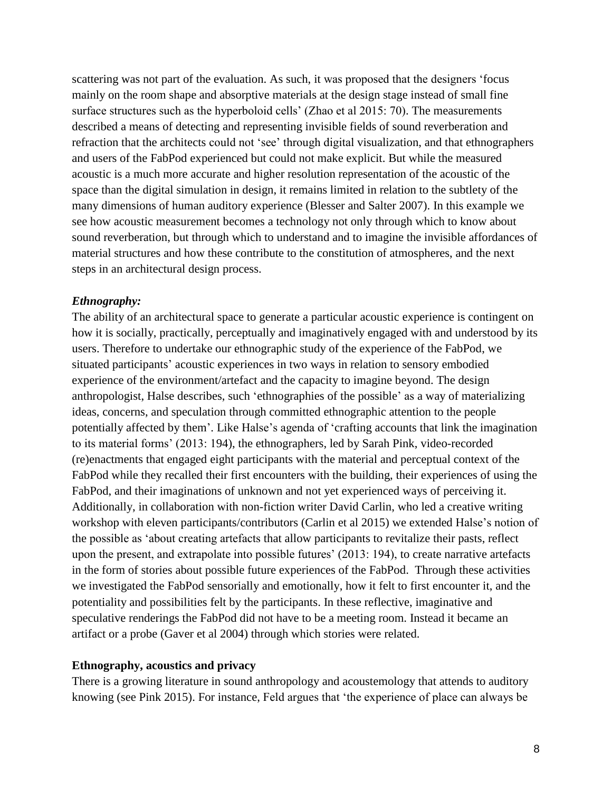scattering was not part of the evaluation. As such, it was proposed that the designers 'focus mainly on the room shape and absorptive materials at the design stage instead of small fine surface structures such as the hyperboloid cells' (Zhao et al 2015: 70). The measurements described a means of detecting and representing invisible fields of sound reverberation and refraction that the architects could not 'see' through digital visualization, and that ethnographers and users of the FabPod experienced but could not make explicit. But while the measured acoustic is a much more accurate and higher resolution representation of the acoustic of the space than the digital simulation in design, it remains limited in relation to the subtlety of the many dimensions of human auditory experience (Blesser and Salter 2007). In this example we see how acoustic measurement becomes a technology not only through which to know about sound reverberation, but through which to understand and to imagine the invisible affordances of material structures and how these contribute to the constitution of atmospheres, and the next steps in an architectural design process.

### *Ethnography:*

The ability of an architectural space to generate a particular acoustic experience is contingent on how it is socially, practically, perceptually and imaginatively engaged with and understood by its users. Therefore to undertake our ethnographic study of the experience of the FabPod, we situated participants' acoustic experiences in two ways in relation to sensory embodied experience of the environment/artefact and the capacity to imagine beyond. The design anthropologist, Halse describes, such 'ethnographies of the possible' as a way of materializing ideas, concerns, and speculation through committed ethnographic attention to the people potentially affected by them'. Like Halse's agenda of 'crafting accounts that link the imagination to its material forms' (2013: 194), the ethnographers, led by Sarah Pink, video-recorded (re)enactments that engaged eight participants with the material and perceptual context of the FabPod while they recalled their first encounters with the building, their experiences of using the FabPod, and their imaginations of unknown and not yet experienced ways of perceiving it. Additionally, in collaboration with non-fiction writer David Carlin, who led a creative writing workshop with eleven participants/contributors (Carlin et al 2015) we extended Halse's notion of the possible as 'about creating artefacts that allow participants to revitalize their pasts, reflect upon the present, and extrapolate into possible futures' (2013: 194), to create narrative artefacts in the form of stories about possible future experiences of the FabPod. Through these activities we investigated the FabPod sensorially and emotionally, how it felt to first encounter it, and the potentiality and possibilities felt by the participants. In these reflective, imaginative and speculative renderings the FabPod did not have to be a meeting room. Instead it became an artifact or a probe (Gaver et al 2004) through which stories were related.

#### **Ethnography, acoustics and privacy**

There is a growing literature in sound anthropology and acoustemology that attends to auditory knowing (see Pink 2015). For instance, Feld argues that 'the experience of place can always be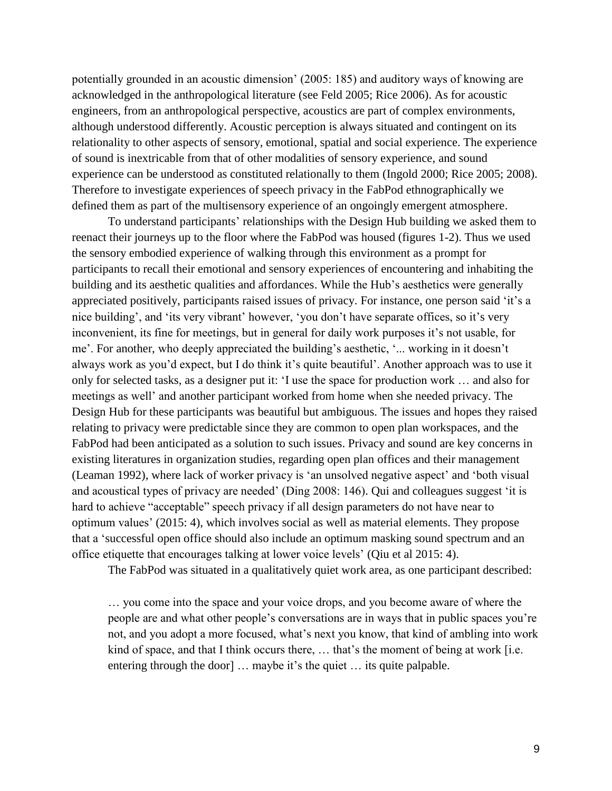potentially grounded in an acoustic dimension' (2005: 185) and auditory ways of knowing are acknowledged in the anthropological literature (see Feld 2005; Rice 2006). As for acoustic engineers, from an anthropological perspective, acoustics are part of complex environments, although understood differently. Acoustic perception is always situated and contingent on its relationality to other aspects of sensory, emotional, spatial and social experience. The experience of sound is inextricable from that of other modalities of sensory experience, and sound experience can be understood as constituted relationally to them (Ingold 2000; Rice 2005; 2008). Therefore to investigate experiences of speech privacy in the FabPod ethnographically we defined them as part of the multisensory experience of an ongoingly emergent atmosphere.

To understand participants' relationships with the Design Hub building we asked them to reenact their journeys up to the floor where the FabPod was housed (figures 1-2). Thus we used the sensory embodied experience of walking through this environment as a prompt for participants to recall their emotional and sensory experiences of encountering and inhabiting the building and its aesthetic qualities and affordances. While the Hub's aesthetics were generally appreciated positively, participants raised issues of privacy. For instance, one person said 'it's a nice building', and 'its very vibrant' however, 'you don't have separate offices, so it's very inconvenient, its fine for meetings, but in general for daily work purposes it's not usable, for me'. For another, who deeply appreciated the building's aesthetic, '... working in it doesn't always work as you'd expect, but I do think it's quite beautiful'. Another approach was to use it only for selected tasks, as a designer put it: 'I use the space for production work … and also for meetings as well' and another participant worked from home when she needed privacy. The Design Hub for these participants was beautiful but ambiguous. The issues and hopes they raised relating to privacy were predictable since they are common to open plan workspaces, and the FabPod had been anticipated as a solution to such issues. Privacy and sound are key concerns in existing literatures in organization studies, regarding open plan offices and their management (Leaman 1992), where lack of worker privacy is 'an unsolved negative aspect' and 'both visual and acoustical types of privacy are needed' (Ding 2008: 146). Qui and colleagues suggest 'it is hard to achieve "acceptable" speech privacy if all design parameters do not have near to optimum values' (2015: 4), which involves social as well as material elements. They propose that a 'successful open office should also include an optimum masking sound spectrum and an office etiquette that encourages talking at lower voice levels' (Qiu et al 2015: 4).

The FabPod was situated in a qualitatively quiet work area, as one participant described:

… you come into the space and your voice drops, and you become aware of where the people are and what other people's conversations are in ways that in public spaces you're not, and you adopt a more focused, what's next you know, that kind of ambling into work kind of space, and that I think occurs there, ... that's the moment of being at work [i.e. entering through the door] ... maybe it's the quiet ... its quite palpable.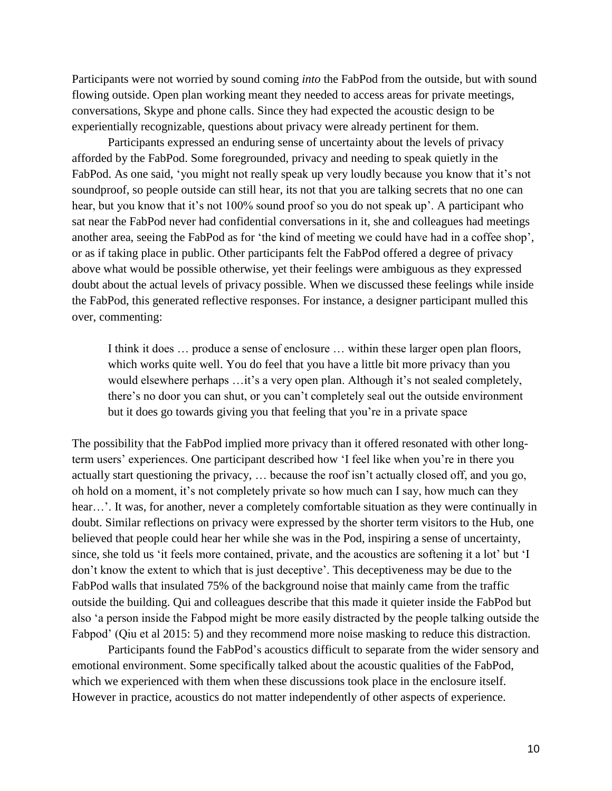Participants were not worried by sound coming *into* the FabPod from the outside, but with sound flowing outside. Open plan working meant they needed to access areas for private meetings, conversations, Skype and phone calls. Since they had expected the acoustic design to be experientially recognizable, questions about privacy were already pertinent for them.

Participants expressed an enduring sense of uncertainty about the levels of privacy afforded by the FabPod. Some foregrounded, privacy and needing to speak quietly in the FabPod. As one said, 'you might not really speak up very loudly because you know that it's not soundproof, so people outside can still hear, its not that you are talking secrets that no one can hear, but you know that it's not 100% sound proof so you do not speak up'. A participant who sat near the FabPod never had confidential conversations in it, she and colleagues had meetings another area, seeing the FabPod as for 'the kind of meeting we could have had in a coffee shop', or as if taking place in public. Other participants felt the FabPod offered a degree of privacy above what would be possible otherwise, yet their feelings were ambiguous as they expressed doubt about the actual levels of privacy possible. When we discussed these feelings while inside the FabPod, this generated reflective responses. For instance, a designer participant mulled this over, commenting:

I think it does … produce a sense of enclosure … within these larger open plan floors, which works quite well. You do feel that you have a little bit more privacy than you would elsewhere perhaps …it's a very open plan. Although it's not sealed completely, there's no door you can shut, or you can't completely seal out the outside environment but it does go towards giving you that feeling that you're in a private space

The possibility that the FabPod implied more privacy than it offered resonated with other longterm users' experiences. One participant described how 'I feel like when you're in there you actually start questioning the privacy, … because the roof isn't actually closed off, and you go, oh hold on a moment, it's not completely private so how much can I say, how much can they hear...'. It was, for another, never a completely comfortable situation as they were continually in doubt. Similar reflections on privacy were expressed by the shorter term visitors to the Hub, one believed that people could hear her while she was in the Pod, inspiring a sense of uncertainty, since, she told us 'it feels more contained, private, and the acoustics are softening it a lot' but 'I don't know the extent to which that is just deceptive'. This deceptiveness may be due to the FabPod walls that insulated 75% of the background noise that mainly came from the traffic outside the building. Qui and colleagues describe that this made it quieter inside the FabPod but also 'a person inside the Fabpod might be more easily distracted by the people talking outside the Fabpod' (Qiu et al 2015: 5) and they recommend more noise masking to reduce this distraction.

Participants found the FabPod's acoustics difficult to separate from the wider sensory and emotional environment. Some specifically talked about the acoustic qualities of the FabPod, which we experienced with them when these discussions took place in the enclosure itself. However in practice, acoustics do not matter independently of other aspects of experience.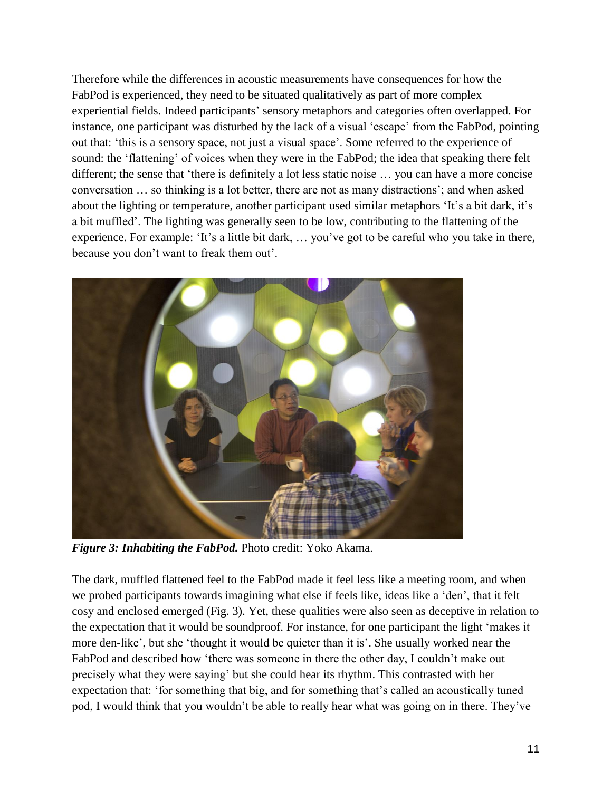Therefore while the differences in acoustic measurements have consequences for how the FabPod is experienced, they need to be situated qualitatively as part of more complex experiential fields. Indeed participants' sensory metaphors and categories often overlapped. For instance, one participant was disturbed by the lack of a visual 'escape' from the FabPod, pointing out that: 'this is a sensory space, not just a visual space'. Some referred to the experience of sound: the 'flattening' of voices when they were in the FabPod; the idea that speaking there felt different; the sense that 'there is definitely a lot less static noise … you can have a more concise conversation … so thinking is a lot better, there are not as many distractions'; and when asked about the lighting or temperature, another participant used similar metaphors 'It's a bit dark, it's a bit muffled'. The lighting was generally seen to be low, contributing to the flattening of the experience. For example: 'It's a little bit dark, … you've got to be careful who you take in there, because you don't want to freak them out'.



*Figure 3: Inhabiting the FabPod.* Photo credit: Yoko Akama.

The dark, muffled flattened feel to the FabPod made it feel less like a meeting room, and when we probed participants towards imagining what else if feels like, ideas like a 'den', that it felt cosy and enclosed emerged (Fig. 3). Yet, these qualities were also seen as deceptive in relation to the expectation that it would be soundproof. For instance, for one participant the light 'makes it more den-like', but she 'thought it would be quieter than it is'. She usually worked near the FabPod and described how 'there was someone in there the other day, I couldn't make out precisely what they were saying' but she could hear its rhythm. This contrasted with her expectation that: 'for something that big, and for something that's called an acoustically tuned pod, I would think that you wouldn't be able to really hear what was going on in there. They've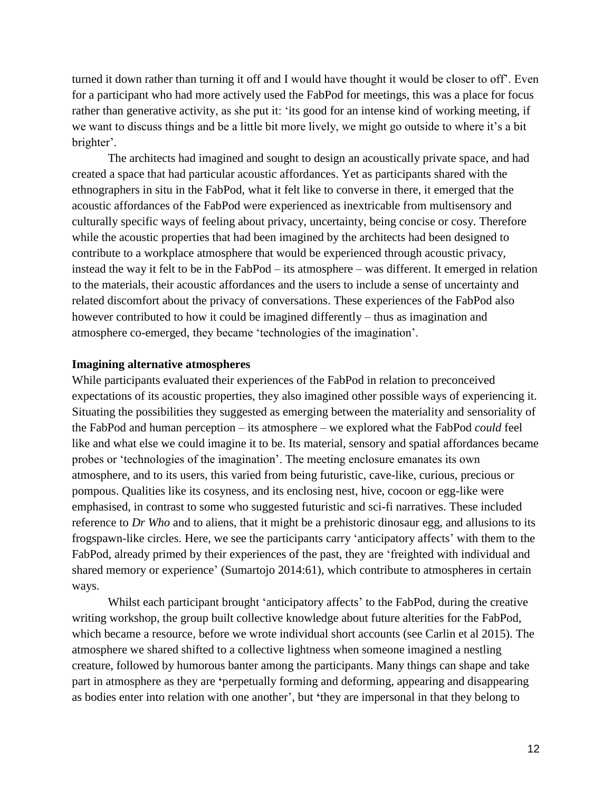turned it down rather than turning it off and I would have thought it would be closer to off'. Even for a participant who had more actively used the FabPod for meetings, this was a place for focus rather than generative activity, as she put it: 'its good for an intense kind of working meeting, if we want to discuss things and be a little bit more lively, we might go outside to where it's a bit brighter'.

The architects had imagined and sought to design an acoustically private space, and had created a space that had particular acoustic affordances. Yet as participants shared with the ethnographers in situ in the FabPod, what it felt like to converse in there, it emerged that the acoustic affordances of the FabPod were experienced as inextricable from multisensory and culturally specific ways of feeling about privacy, uncertainty, being concise or cosy. Therefore while the acoustic properties that had been imagined by the architects had been designed to contribute to a workplace atmosphere that would be experienced through acoustic privacy, instead the way it felt to be in the FabPod – its atmosphere – was different. It emerged in relation to the materials, their acoustic affordances and the users to include a sense of uncertainty and related discomfort about the privacy of conversations. These experiences of the FabPod also however contributed to how it could be imagined differently – thus as imagination and atmosphere co-emerged, they became 'technologies of the imagination'.

#### **Imagining alternative atmospheres**

While participants evaluated their experiences of the FabPod in relation to preconceived expectations of its acoustic properties, they also imagined other possible ways of experiencing it. Situating the possibilities they suggested as emerging between the materiality and sensoriality of the FabPod and human perception – its atmosphere – we explored what the FabPod *could* feel like and what else we could imagine it to be. Its material, sensory and spatial affordances became probes or 'technologies of the imagination'. The meeting enclosure emanates its own atmosphere, and to its users, this varied from being futuristic, cave-like, curious, precious or pompous. Qualities like its cosyness, and its enclosing nest, hive, cocoon or egg-like were emphasised, in contrast to some who suggested futuristic and sci-fi narratives. These included reference to *Dr Who* and to aliens, that it might be a prehistoric dinosaur egg, and allusions to its frogspawn-like circles. Here, we see the participants carry 'anticipatory affects' with them to the FabPod, already primed by their experiences of the past, they are 'freighted with individual and shared memory or experience' (Sumartojo 2014:61), which contribute to atmospheres in certain ways.

Whilst each participant brought 'anticipatory affects' to the FabPod, during the creative writing workshop, the group built collective knowledge about future alterities for the FabPod, which became a resource, before we wrote individual short accounts (see Carlin et al 2015). The atmosphere we shared shifted to a collective lightness when someone imagined a nestling creature, followed by humorous banter among the participants. Many things can shape and take part in atmosphere as they are **'**perpetually forming and deforming, appearing and disappearing as bodies enter into relation with one another', but **'**they are impersonal in that they belong to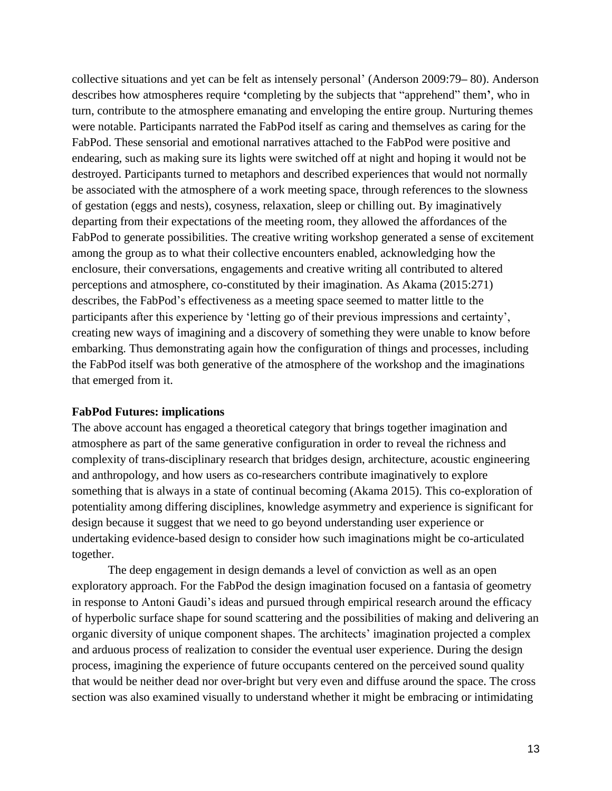collective situations and yet can be felt as intensely personal' (Anderson 2009:79**–** 80). Anderson describes how atmospheres require **'**completing by the subjects that "apprehend" them**'**, who in turn, contribute to the atmosphere emanating and enveloping the entire group. Nurturing themes were notable. Participants narrated the FabPod itself as caring and themselves as caring for the FabPod. These sensorial and emotional narratives attached to the FabPod were positive and endearing, such as making sure its lights were switched off at night and hoping it would not be destroyed. Participants turned to metaphors and described experiences that would not normally be associated with the atmosphere of a work meeting space, through references to the slowness of gestation (eggs and nests), cosyness, relaxation, sleep or chilling out. By imaginatively departing from their expectations of the meeting room, they allowed the affordances of the FabPod to generate possibilities. The creative writing workshop generated a sense of excitement among the group as to what their collective encounters enabled, acknowledging how the enclosure, their conversations, engagements and creative writing all contributed to altered perceptions and atmosphere, co-constituted by their imagination. As Akama (2015:271) describes, the FabPod's effectiveness as a meeting space seemed to matter little to the participants after this experience by 'letting go of their previous impressions and certainty', creating new ways of imagining and a discovery of something they were unable to know before embarking. Thus demonstrating again how the configuration of things and processes, including the FabPod itself was both generative of the atmosphere of the workshop and the imaginations that emerged from it.

#### **FabPod Futures: implications**

The above account has engaged a theoretical category that brings together imagination and atmosphere as part of the same generative configuration in order to reveal the richness and complexity of trans-disciplinary research that bridges design, architecture, acoustic engineering and anthropology, and how users as co-researchers contribute imaginatively to explore something that is always in a state of continual becoming (Akama 2015). This co-exploration of potentiality among differing disciplines, knowledge asymmetry and experience is significant for design because it suggest that we need to go beyond understanding user experience or undertaking evidence-based design to consider how such imaginations might be co-articulated together.

The deep engagement in design demands a level of conviction as well as an open exploratory approach. For the FabPod the design imagination focused on a fantasia of geometry in response to Antoni Gaudi's ideas and pursued through empirical research around the efficacy of hyperbolic surface shape for sound scattering and the possibilities of making and delivering an organic diversity of unique component shapes. The architects' imagination projected a complex and arduous process of realization to consider the eventual user experience. During the design process, imagining the experience of future occupants centered on the perceived sound quality that would be neither dead nor over-bright but very even and diffuse around the space. The cross section was also examined visually to understand whether it might be embracing or intimidating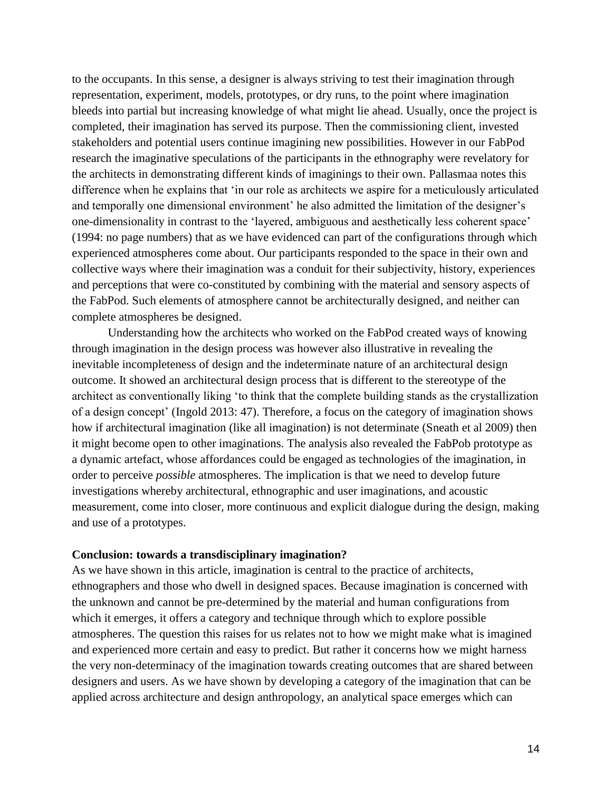to the occupants. In this sense, a designer is always striving to test their imagination through representation, experiment, models, prototypes, or dry runs, to the point where imagination bleeds into partial but increasing knowledge of what might lie ahead. Usually, once the project is completed, their imagination has served its purpose. Then the commissioning client, invested stakeholders and potential users continue imagining new possibilities. However in our FabPod research the imaginative speculations of the participants in the ethnography were revelatory for the architects in demonstrating different kinds of imaginings to their own. Pallasmaa notes this difference when he explains that 'in our role as architects we aspire for a meticulously articulated and temporally one dimensional environment' he also admitted the limitation of the designer's one-dimensionality in contrast to the 'layered, ambiguous and aesthetically less coherent space' (1994: no page numbers) that as we have evidenced can part of the configurations through which experienced atmospheres come about. Our participants responded to the space in their own and collective ways where their imagination was a conduit for their subjectivity, history, experiences and perceptions that were co-constituted by combining with the material and sensory aspects of the FabPod. Such elements of atmosphere cannot be architecturally designed, and neither can complete atmospheres be designed.

Understanding how the architects who worked on the FabPod created ways of knowing through imagination in the design process was however also illustrative in revealing the inevitable incompleteness of design and the indeterminate nature of an architectural design outcome. It showed an architectural design process that is different to the stereotype of the architect as conventionally liking 'to think that the complete building stands as the crystallization of a design concept' (Ingold 2013: 47). Therefore, a focus on the category of imagination shows how if architectural imagination (like all imagination) is not determinate (Sneath et al 2009) then it might become open to other imaginations. The analysis also revealed the FabPob prototype as a dynamic artefact, whose affordances could be engaged as technologies of the imagination, in order to perceive *possible* atmospheres. The implication is that we need to develop future investigations whereby architectural, ethnographic and user imaginations, and acoustic measurement, come into closer, more continuous and explicit dialogue during the design, making and use of a prototypes.

#### **Conclusion: towards a transdisciplinary imagination?**

As we have shown in this article, imagination is central to the practice of architects, ethnographers and those who dwell in designed spaces. Because imagination is concerned with the unknown and cannot be pre-determined by the material and human configurations from which it emerges, it offers a category and technique through which to explore possible atmospheres. The question this raises for us relates not to how we might make what is imagined and experienced more certain and easy to predict. But rather it concerns how we might harness the very non-determinacy of the imagination towards creating outcomes that are shared between designers and users. As we have shown by developing a category of the imagination that can be applied across architecture and design anthropology, an analytical space emerges which can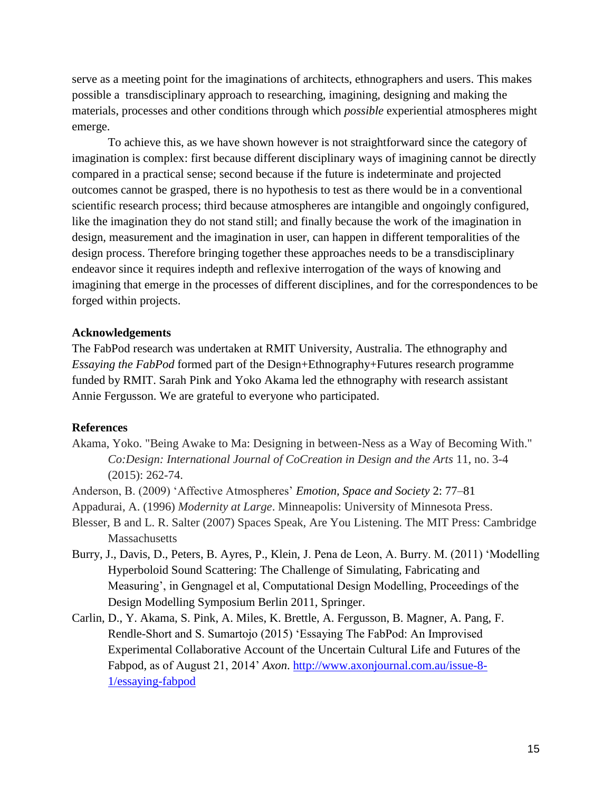serve as a meeting point for the imaginations of architects, ethnographers and users. This makes possible a transdisciplinary approach to researching, imagining, designing and making the materials, processes and other conditions through which *possible* experiential atmospheres might emerge.

To achieve this, as we have shown however is not straightforward since the category of imagination is complex: first because different disciplinary ways of imagining cannot be directly compared in a practical sense; second because if the future is indeterminate and projected outcomes cannot be grasped, there is no hypothesis to test as there would be in a conventional scientific research process; third because atmospheres are intangible and ongoingly configured, like the imagination they do not stand still; and finally because the work of the imagination in design, measurement and the imagination in user, can happen in different temporalities of the design process. Therefore bringing together these approaches needs to be a transdisciplinary endeavor since it requires indepth and reflexive interrogation of the ways of knowing and imagining that emerge in the processes of different disciplines, and for the correspondences to be forged within projects.

#### **Acknowledgements**

The FabPod research was undertaken at RMIT University, Australia. The ethnography and *Essaying the FabPod* formed part of the Design+Ethnography+Futures research programme funded by RMIT. Sarah Pink and Yoko Akama led the ethnography with research assistant Annie Fergusson. We are grateful to everyone who participated.

#### **References**

- Akama, Yoko. "Being Awake to Ma: Designing in between-Ness as a Way of Becoming With." *Co:Design: International Journal of CoCreation in Design and the Arts* 11, no. 3-4 (2015): 262-74.
- Anderson, B. (2009) 'Affective Atmospheres' *Emotion, Space and Society* 2: 77–81
- Appadurai, A. (1996) *Modernity at Large*. Minneapolis: University of Minnesota Press.
- Blesser, B and L. R. Salter (2007) Spaces Speak, Are You Listening. The MIT Press: Cambridge **Massachusetts**
- Burry, J., Davis, D., Peters, B. Ayres, P., Klein, J. Pena de Leon, A. Burry. M. (2011) 'Modelling Hyperboloid Sound Scattering: The Challenge of Simulating, Fabricating and Measuring', in Gengnagel et al, Computational Design Modelling, Proceedings of the Design Modelling Symposium Berlin 2011, Springer.
- Carlin, D., Y. Akama, S. Pink, A. Miles, K. Brettle, A. Fergusson, B. Magner, A. Pang, F. Rendle-Short and S. Sumartojo (2015) 'Essaying The FabPod: An Improvised Experimental Collaborative Account of the Uncertain Cultural Life and Futures of the Fabpod, as of August 21, 2014' *Axon*. [http://www.axonjournal.com.au/issue-8-](http://www.axonjournal.com.au/issue-8-1/essaying-fabpod) [1/essaying-fabpod](http://www.axonjournal.com.au/issue-8-1/essaying-fabpod)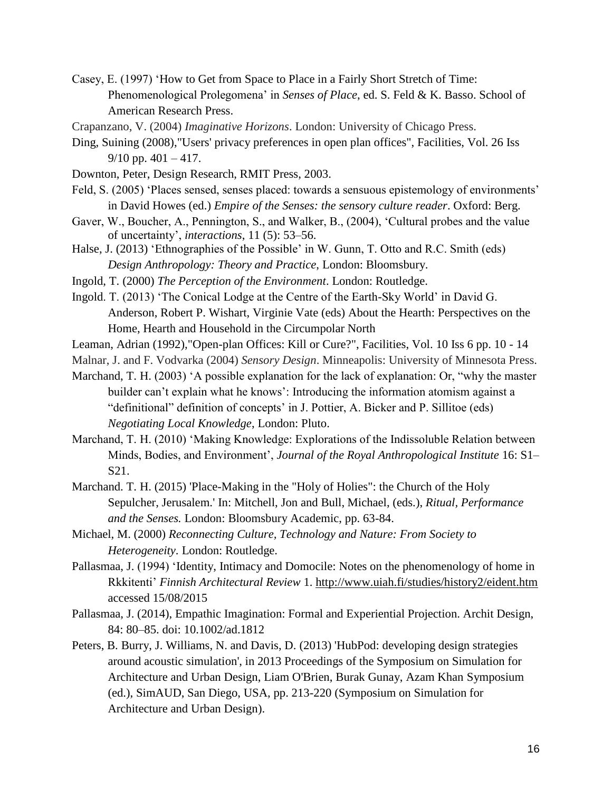- Casey, E. (1997) 'How to Get from Space to Place in a Fairly Short Stretch of Time: Phenomenological Prolegomena' in *Senses of Place*, ed. S. Feld & K. Basso. School of American Research Press.
- Crapanzano, V. (2004) *Imaginative Horizons*. London: University of Chicago Press.
- Ding, Suining (2008),"Users' privacy preferences in open plan offices", Facilities, Vol. 26 Iss  $9/10$  pp.  $401 - 417$ .
- Downton, Peter, Design Research, RMIT Press, 2003.
- Feld, S. (2005) 'Places sensed, senses placed: towards a sensuous epistemology of environments' in David Howes (ed.) *Empire of the Senses: the sensory culture reader*. Oxford: Berg.
- Gaver, W., Boucher, A., Pennington, S., and Walker, B., (2004), 'Cultural probes and the value of uncertainty', *interactions*, 11 (5): 53–56.
- Halse, J. (2013) 'Ethnographies of the Possible' in W. Gunn, T. Otto and R.C. Smith (eds) *Design Anthropology: Theory and Practice*, London: Bloomsbury.
- Ingold, T. (2000) *The Perception of the Environment*. London: Routledge.
- Ingold. T. (2013) 'The Conical Lodge at the Centre of the Earth-Sky World' in David G. Anderson, Robert P. Wishart, Virginie Vate (eds) About the Hearth: Perspectives on the Home, Hearth and Household in the Circumpolar North
- Leaman, Adrian (1992),"Open-plan Offices: Kill or Cure?", Facilities, Vol. 10 Iss 6 pp. 10 14
- Malnar, J. and F. Vodvarka (2004) *Sensory Design*. Minneapolis: University of Minnesota Press.
- Marchand, T. H. (2003) 'A possible explanation for the lack of explanation: Or, "why the master builder can't explain what he knows': Introducing the information atomism against a "definitional" definition of concepts' in J. Pottier, A. Bicker and P. Sillitoe (eds)
	- *Negotiating Local Knowledge*, London: Pluto.
- Marchand, T. H. (2010) 'Making Knowledge: Explorations of the Indissoluble Relation between Minds, Bodies, and Environment', *Journal of the Royal Anthropological Institute* 16: S1– S21.
- Marchand. T. H. (2015) ['Place-Making in the "Holy of Holies": the Church of the Holy](http://eprints.soas.ac.uk/19608/)  [Sepulcher, Jerusalem.'](http://eprints.soas.ac.uk/19608/) In: Mitchell, Jon and Bull, Michael, (eds.), *Ritual, Performance and the Senses.* London: Bloomsbury Academic, pp. 63-84.
- Michael, M. (2000) *Reconnecting Culture, Technology and Nature: From Society to Heterogeneity*. London: Routledge.
- Pallasmaa, J. (1994) 'Identity, Intimacy and Domocile: Notes on the phenomenology of home in Rkkitenti' *Finnish Architectural Review* 1. [http://www.uiah.fi/studies/history2/eident.htm](http://www.uiah.fi/studies/history2/e_ident.htm) accessed 15/08/2015
- Pallasmaa, J. (2014), Empathic Imagination: Formal and Experiential Projection. Archit Design, 84: 80–85. doi: 10.1002/ad.1812
- Peters, B. Burry, J. Williams, N. and Davis, D. (2013) 'HubPod: developing design strategies around acoustic simulation', in 2013 Proceedings of the Symposium on Simulation for Architecture and Urban Design, Liam O'Brien, Burak Gunay, Azam Khan Symposium (ed.), SimAUD, San Diego, USA, pp. 213-220 (Symposium on Simulation for Architecture and Urban Design).